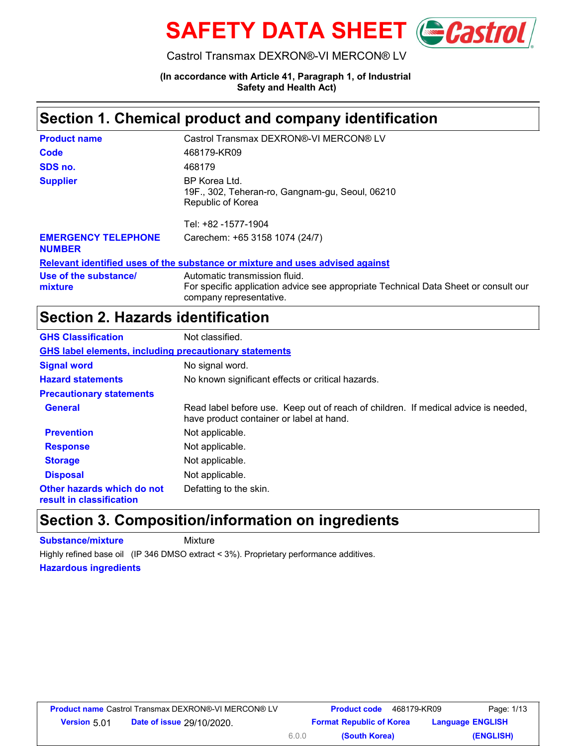

Castrol Transmax DEXRON®-VI MERCON® LV

**(In accordance with Article 41, Paragraph 1, of Industrial Safety and Health Act)**

#### **Section 1. Chemical product and company identification**

| <b>Product name</b>                         | Castrol Transmax DEXRON®-VI MERCON® LV                                                                                                          |
|---------------------------------------------|-------------------------------------------------------------------------------------------------------------------------------------------------|
| Code                                        | 468179-KR09                                                                                                                                     |
| SDS no.                                     | 468179                                                                                                                                          |
| <b>Supplier</b>                             | BP Korea Ltd.<br>19F., 302, Teheran-ro, Gangnam-gu, Seoul, 06210<br>Republic of Korea                                                           |
|                                             | Tel: +82 -1577-1904                                                                                                                             |
| <b>EMERGENCY TELEPHONE</b><br><b>NUMBER</b> | Carechem: +65 3158 1074 (24/7)                                                                                                                  |
|                                             | Relevant identified uses of the substance or mixture and uses advised against                                                                   |
| Use of the substance/<br>mixture            | Automatic transmission fluid.<br>For specific application advice see appropriate Technical Data Sheet or consult our<br>company representative. |

#### **Section 2. Hazards identification**

| <b>GHS Classification</b>                                     | Not classified.                                                                                                                |
|---------------------------------------------------------------|--------------------------------------------------------------------------------------------------------------------------------|
| <b>GHS label elements, including precautionary statements</b> |                                                                                                                                |
| <b>Signal word</b>                                            | No signal word.                                                                                                                |
| <b>Hazard statements</b>                                      | No known significant effects or critical hazards.                                                                              |
| <b>Precautionary statements</b>                               |                                                                                                                                |
| <b>General</b>                                                | Read label before use. Keep out of reach of children. If medical advice is needed,<br>have product container or label at hand. |
| <b>Prevention</b>                                             | Not applicable.                                                                                                                |
| <b>Response</b>                                               | Not applicable.                                                                                                                |
| <b>Storage</b>                                                | Not applicable.                                                                                                                |
| <b>Disposal</b>                                               | Not applicable.                                                                                                                |
| Other hazards which do not<br>result in classification        | Defatting to the skin.                                                                                                         |

#### **Section 3. Composition/information on ingredients**

**Substance/mixture** Mixture

Highly refined base oil (IP 346 DMSO extract < 3%). Proprietary performance additives.

**Hazardous ingredients**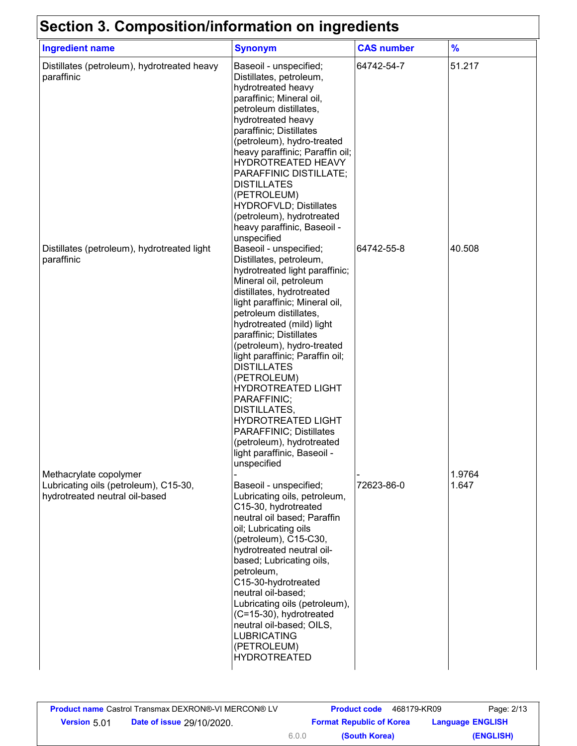### **Section 3. Composition/information on ingredients**

| <b>Ingredient name</b>                                                                            | <b>Synonym</b>                                                                                                                                                                                                                                                                                                                                                                                                                                                                                                                                                             | <b>CAS number</b> | $\frac{9}{6}$   |
|---------------------------------------------------------------------------------------------------|----------------------------------------------------------------------------------------------------------------------------------------------------------------------------------------------------------------------------------------------------------------------------------------------------------------------------------------------------------------------------------------------------------------------------------------------------------------------------------------------------------------------------------------------------------------------------|-------------------|-----------------|
| Distillates (petroleum), hydrotreated heavy<br>paraffinic                                         | Baseoil - unspecified;<br>Distillates, petroleum,<br>hydrotreated heavy<br>paraffinic; Mineral oil,<br>petroleum distillates,<br>hydrotreated heavy<br>paraffinic; Distillates<br>(petroleum), hydro-treated<br>heavy paraffinic; Paraffin oil;<br>HYDROTREATED HEAVY<br>PARAFFINIC DISTILLATE;<br><b>DISTILLATES</b><br>(PETROLEUM)<br><b>HYDROFVLD; Distillates</b><br>(petroleum), hydrotreated<br>heavy paraffinic, Baseoil -<br>unspecified                                                                                                                           | 64742-54-7        | 51.217          |
| Distillates (petroleum), hydrotreated light<br>paraffinic                                         | Baseoil - unspecified;<br>Distillates, petroleum,<br>hydrotreated light paraffinic;<br>Mineral oil, petroleum<br>distillates, hydrotreated<br>light paraffinic; Mineral oil,<br>petroleum distillates,<br>hydrotreated (mild) light<br>paraffinic; Distillates<br>(petroleum), hydro-treated<br>light paraffinic; Paraffin oil;<br><b>DISTILLATES</b><br>(PETROLEUM)<br><b>HYDROTREATED LIGHT</b><br>PARAFFINIC;<br>DISTILLATES,<br><b>HYDROTREATED LIGHT</b><br><b>PARAFFINIC; Distillates</b><br>(petroleum), hydrotreated<br>light paraffinic, Baseoil -<br>unspecified | 64742-55-8        | 40.508          |
| Methacrylate copolymer<br>Lubricating oils (petroleum), C15-30,<br>hydrotreated neutral oil-based | Baseoil - unspecified;<br>Lubricating oils, petroleum,<br>C15-30, hydrotreated<br>neutral oil based; Paraffin<br>oil; Lubricating oils<br>(petroleum), C15-C30,<br>hydrotreated neutral oil-<br>based; Lubricating oils,<br>petroleum,<br>C15-30-hydrotreated<br>neutral oil-based;<br>Lubricating oils (petroleum),<br>(C=15-30), hydrotreated<br>neutral oil-based; OILS,<br><b>LUBRICATING</b><br>(PETROLEUM)<br><b>HYDROTREATED</b>                                                                                                                                    | 72623-86-0        | 1.9764<br>1.647 |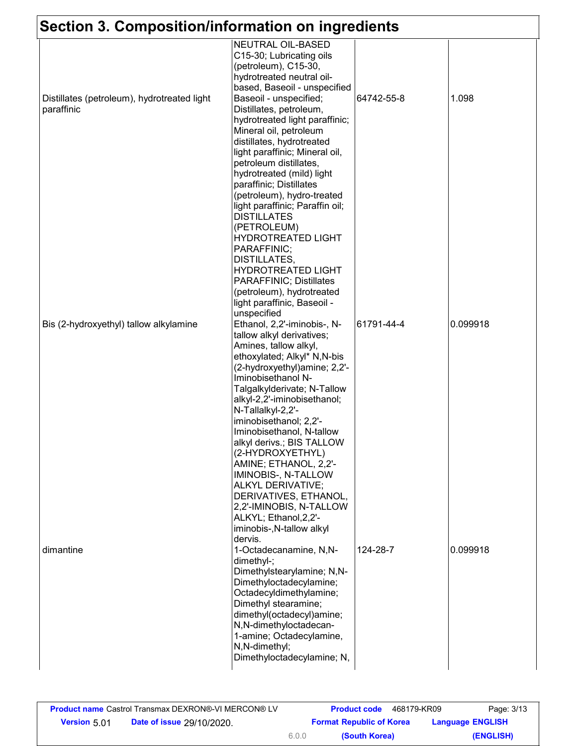## **Section 3. Composition/information on ingredients**

| Section 3. Composition/information on ingredients |                                 |            |          |
|---------------------------------------------------|---------------------------------|------------|----------|
|                                                   | <b>NEUTRAL OIL-BASED</b>        |            |          |
|                                                   | C15-30; Lubricating oils        |            |          |
|                                                   | (petroleum), C15-30,            |            |          |
|                                                   | hydrotreated neutral oil-       |            |          |
|                                                   | based, Baseoil - unspecified    |            |          |
| Distillates (petroleum), hydrotreated light       | Baseoil - unspecified;          | 64742-55-8 | 1.098    |
| paraffinic                                        | Distillates, petroleum,         |            |          |
|                                                   | hydrotreated light paraffinic;  |            |          |
|                                                   | Mineral oil, petroleum          |            |          |
|                                                   | distillates, hydrotreated       |            |          |
|                                                   | light paraffinic; Mineral oil,  |            |          |
|                                                   | petroleum distillates,          |            |          |
|                                                   | hydrotreated (mild) light       |            |          |
|                                                   | paraffinic; Distillates         |            |          |
|                                                   | (petroleum), hydro-treated      |            |          |
|                                                   | light paraffinic; Paraffin oil; |            |          |
|                                                   | <b>DISTILLATES</b>              |            |          |
|                                                   | (PETROLEUM)                     |            |          |
|                                                   | <b>HYDROTREATED LIGHT</b>       |            |          |
|                                                   | PARAFFINIC;                     |            |          |
|                                                   | DISTILLATES,                    |            |          |
|                                                   | <b>HYDROTREATED LIGHT</b>       |            |          |
|                                                   | PARAFFINIC; Distillates         |            |          |
|                                                   | (petroleum), hydrotreated       |            |          |
|                                                   | light paraffinic, Baseoil -     |            |          |
|                                                   | unspecified                     |            |          |
| Bis (2-hydroxyethyl) tallow alkylamine            | Ethanol, 2,2'-iminobis-, N-     | 61791-44-4 | 0.099918 |
|                                                   | tallow alkyl derivatives;       |            |          |
|                                                   | Amines, tallow alkyl,           |            |          |
|                                                   | ethoxylated; Alkyl* N,N-bis     |            |          |
|                                                   | (2-hydroxyethyl) amine; 2,2'-   |            |          |
|                                                   | Iminobisethanol N-              |            |          |
|                                                   | Talgalkylderivate; N-Tallow     |            |          |
|                                                   | alkyl-2,2'-iminobisethanol;     |            |          |
|                                                   | N-Tallalkyl-2,2'-               |            |          |
|                                                   | iminobisethanol; 2,2'-          |            |          |
|                                                   | Iminobisethanol, N-tallow       |            |          |
|                                                   | alkyl derivs.; BIS TALLOW       |            |          |
|                                                   | (2-HYDROXYETHYL)                |            |          |
|                                                   | AMINE; ETHANOL, 2,2'-           |            |          |
|                                                   | IMINOBIS-, N-TALLOW             |            |          |
|                                                   | <b>ALKYL DERIVATIVE;</b>        |            |          |
|                                                   | DERIVATIVES, ETHANOL,           |            |          |
|                                                   | 2,2'-IMINOBIS, N-TALLOW         |            |          |
|                                                   | ALKYL; Ethanol, 2, 2'-          |            |          |
|                                                   | iminobis-, N-tallow alkyl       |            |          |
|                                                   | dervis.                         |            |          |
| dimantine                                         | 1-Octadecanamine, N,N-          | 124-28-7   | 0.099918 |
|                                                   | dimethyl-;                      |            |          |
|                                                   | Dimethylstearylamine; N,N-      |            |          |
|                                                   | Dimethyloctadecylamine;         |            |          |
|                                                   | Octadecyldimethylamine;         |            |          |
|                                                   | Dimethyl stearamine;            |            |          |
|                                                   | dimethyl(octadecyl)amine;       |            |          |
|                                                   | N,N-dimethyloctadecan-          |            |          |
|                                                   | 1-amine; Octadecylamine,        |            |          |
|                                                   | N,N-dimethyl;                   |            |          |
|                                                   | Dimethyloctadecylamine; N,      |            |          |
|                                                   |                                 |            |          |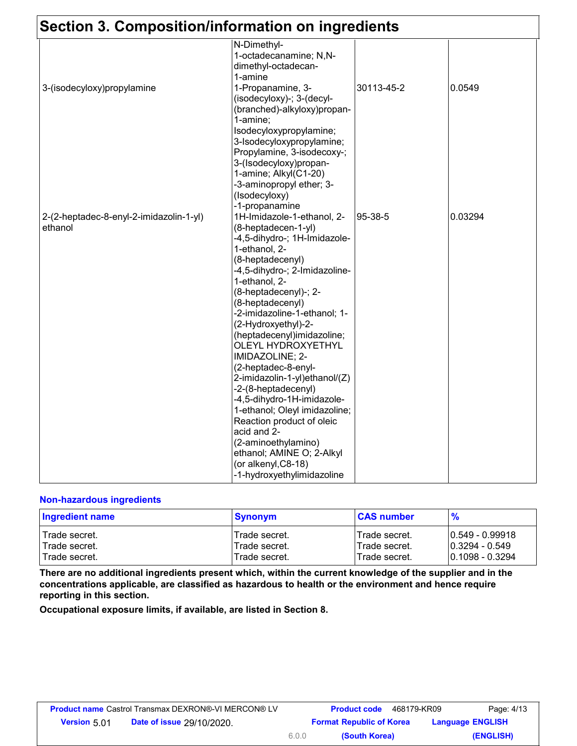|                                         | N-Dimethyl-                                             |            |         |
|-----------------------------------------|---------------------------------------------------------|------------|---------|
|                                         | 1-octadecanamine; N,N-                                  |            |         |
|                                         | dimethyl-octadecan-                                     |            |         |
|                                         | 1-amine                                                 |            |         |
| 3-(isodecyloxy)propylamine              | 1-Propanamine, 3-                                       | 30113-45-2 | 0.0549  |
|                                         | (isodecyloxy)-; 3-(decyl-                               |            |         |
|                                         | (branched)-alkyloxy)propan-<br>1-amine:                 |            |         |
|                                         | Isodecyloxypropylamine;                                 |            |         |
|                                         |                                                         |            |         |
|                                         | 3-Isodecyloxypropylamine;<br>Propylamine, 3-isodecoxy-; |            |         |
|                                         | 3-(Isodecyloxy)propan-                                  |            |         |
|                                         | 1-amine; Alkyl(C1-20)                                   |            |         |
|                                         | -3-aminopropyl ether; 3-                                |            |         |
|                                         | (Isodecyloxy)                                           |            |         |
|                                         | -1-propanamine                                          |            |         |
| 2-(2-heptadec-8-enyl-2-imidazolin-1-yl) | 1H-Imidazole-1-ethanol, 2-                              | 95-38-5    | 0.03294 |
| ethanol                                 | (8-heptadecen-1-yl)                                     |            |         |
|                                         | -4,5-dihydro-; 1H-Imidazole-                            |            |         |
|                                         | 1-ethanol, 2-                                           |            |         |
|                                         | (8-heptadecenyl)                                        |            |         |
|                                         | -4,5-dihydro-; 2-Imidazoline-                           |            |         |
|                                         | 1-ethanol, 2-                                           |            |         |
|                                         | (8-heptadecenyl)-; 2-                                   |            |         |
|                                         | (8-heptadecenyl)                                        |            |         |
|                                         | -2-imidazoline-1-ethanol; 1-                            |            |         |
|                                         | (2-Hydroxyethyl)-2-                                     |            |         |
|                                         | (heptadecenyl)imidazoline;                              |            |         |
|                                         | <b>OLEYL HYDROXYETHYL</b>                               |            |         |
|                                         | IMIDAZOLINE; 2-                                         |            |         |
|                                         | (2-heptadec-8-enyl-                                     |            |         |
|                                         | 2-imidazolin-1-yl)ethanol/(Z)                           |            |         |
|                                         | -2-(8-heptadecenyl)                                     |            |         |
|                                         | -4,5-dihydro-1H-imidazole-                              |            |         |
|                                         | 1-ethanol; Oleyl imidazoline;                           |            |         |
|                                         | Reaction product of oleic                               |            |         |
|                                         | acid and 2-                                             |            |         |
|                                         | (2-aminoethylamino)                                     |            |         |
|                                         | ethanol; AMINE O; 2-Alkyl                               |            |         |
|                                         | (or alkenyl, C8-18)                                     |            |         |
|                                         | -1-hydroxyethylimidazoline                              |            |         |

#### **Non-hazardous ingredients**

| <b>Ingredient name</b> | <b>Synonym</b> | <b>CAS number</b> | $\frac{9}{6}$      |
|------------------------|----------------|-------------------|--------------------|
| Trade secret.          | Trade secret.  | ITrade secret.    | $10.549 - 0.99918$ |
| l Trade secret.        | Trade secret.  | lTrade secret.    | 10.3294 - 0.549    |
| l Trade secret.        | Trade secret.  | ITrade secret.    | 10.1098 - 0.3294   |

**There are no additional ingredients present which, within the current knowledge of the supplier and in the concentrations applicable, are classified as hazardous to health or the environment and hence require reporting in this section.**

**Occupational exposure limits, if available, are listed in Section 8.**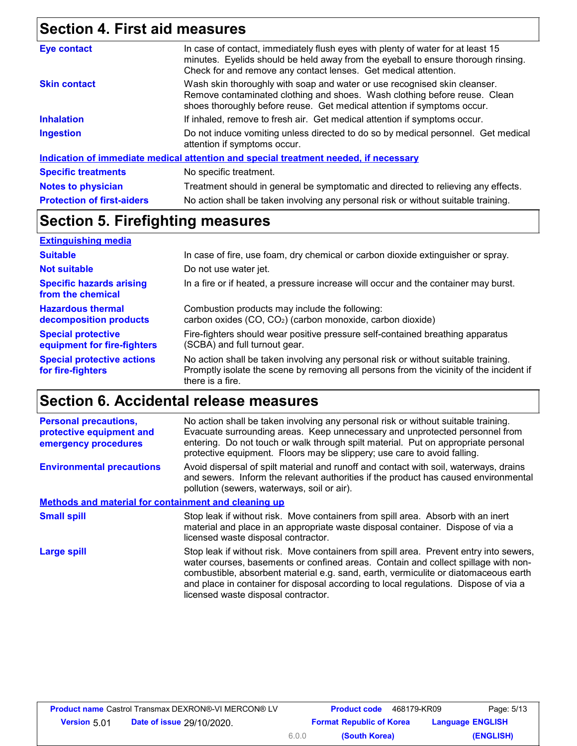# **Section 4. First aid measures**

| <b>Eye contact</b>                | In case of contact, immediately flush eyes with plenty of water for at least 15<br>minutes. Eyelids should be held away from the eyeball to ensure thorough rinsing.<br>Check for and remove any contact lenses. Get medical attention. |
|-----------------------------------|-----------------------------------------------------------------------------------------------------------------------------------------------------------------------------------------------------------------------------------------|
| <b>Skin contact</b>               | Wash skin thoroughly with soap and water or use recognised skin cleanser.<br>Remove contaminated clothing and shoes. Wash clothing before reuse. Clean<br>shoes thoroughly before reuse. Get medical attention if symptoms occur.       |
| <b>Inhalation</b>                 | If inhaled, remove to fresh air. Get medical attention if symptoms occur.                                                                                                                                                               |
| <b>Ingestion</b>                  | Do not induce vomiting unless directed to do so by medical personnel. Get medical<br>attention if symptoms occur.                                                                                                                       |
|                                   | Indication of immediate medical attention and special treatment needed, if necessary                                                                                                                                                    |
| <b>Specific treatments</b>        | No specific treatment.                                                                                                                                                                                                                  |
| <b>Notes to physician</b>         | Treatment should in general be symptomatic and directed to relieving any effects.                                                                                                                                                       |
| <b>Protection of first-aiders</b> | No action shall be taken involving any personal risk or without suitable training.                                                                                                                                                      |
|                                   |                                                                                                                                                                                                                                         |

#### **Section 5. Firefighting measures**

| <b>Extinguishing media</b>                               |                                                                                                                                                                                                   |
|----------------------------------------------------------|---------------------------------------------------------------------------------------------------------------------------------------------------------------------------------------------------|
| <b>Suitable</b>                                          | In case of fire, use foam, dry chemical or carbon dioxide extinguisher or spray.                                                                                                                  |
| <b>Not suitable</b>                                      | Do not use water jet.                                                                                                                                                                             |
| <b>Specific hazards arising</b><br>from the chemical     | In a fire or if heated, a pressure increase will occur and the container may burst.                                                                                                               |
| <b>Hazardous thermal</b><br>decomposition products       | Combustion products may include the following:<br>carbon oxides (CO, CO <sub>2</sub> ) (carbon monoxide, carbon dioxide)                                                                          |
| <b>Special protective</b><br>equipment for fire-fighters | Fire-fighters should wear positive pressure self-contained breathing apparatus<br>(SCBA) and full turnout gear.                                                                                   |
| <b>Special protective actions</b><br>for fire-fighters   | No action shall be taken involving any personal risk or without suitable training.<br>Promptly isolate the scene by removing all persons from the vicinity of the incident if<br>there is a fire. |

## **Section 6. Accidental release measures**

| <b>Personal precautions,</b><br>protective equipment and<br>emergency procedures | No action shall be taken involving any personal risk or without suitable training.<br>Evacuate surrounding areas. Keep unnecessary and unprotected personnel from<br>entering. Do not touch or walk through spilt material. Put on appropriate personal<br>protective equipment. Floors may be slippery; use care to avoid falling.                                                                |
|----------------------------------------------------------------------------------|----------------------------------------------------------------------------------------------------------------------------------------------------------------------------------------------------------------------------------------------------------------------------------------------------------------------------------------------------------------------------------------------------|
| <b>Environmental precautions</b>                                                 | Avoid dispersal of spilt material and runoff and contact with soil, waterways, drains<br>and sewers. Inform the relevant authorities if the product has caused environmental<br>pollution (sewers, waterways, soil or air).                                                                                                                                                                        |
| <b>Methods and material for containment and cleaning up</b>                      |                                                                                                                                                                                                                                                                                                                                                                                                    |
| <b>Small spill</b>                                                               | Stop leak if without risk. Move containers from spill area. Absorb with an inert<br>material and place in an appropriate waste disposal container. Dispose of via a<br>licensed waste disposal contractor.                                                                                                                                                                                         |
| <b>Large spill</b>                                                               | Stop leak if without risk. Move containers from spill area. Prevent entry into sewers,<br>water courses, basements or confined areas. Contain and collect spillage with non-<br>combustible, absorbent material e.g. sand, earth, vermiculite or diatomaceous earth<br>and place in container for disposal according to local regulations. Dispose of via a<br>licensed waste disposal contractor. |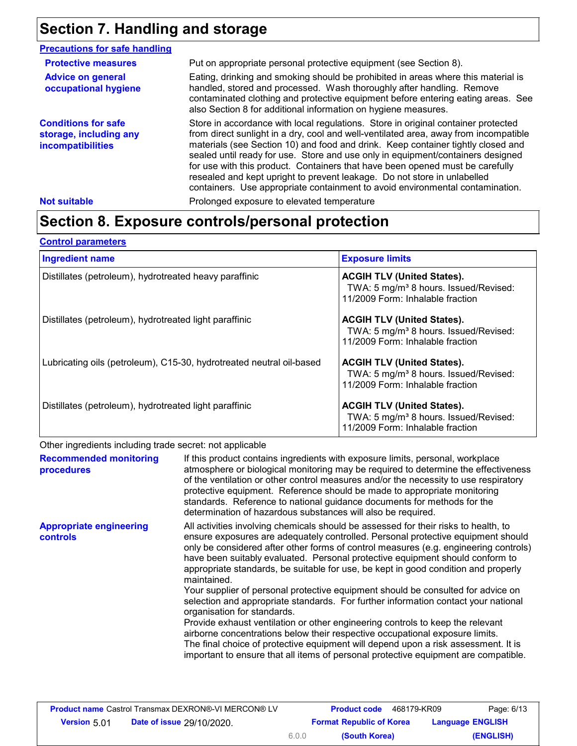### **Section 7. Handling and storage**

| <b>Precautions for safe handling</b>                                             |                                                                                                                                                                                                                                                                                                                                                                                                                                                                                                                                                                                                |
|----------------------------------------------------------------------------------|------------------------------------------------------------------------------------------------------------------------------------------------------------------------------------------------------------------------------------------------------------------------------------------------------------------------------------------------------------------------------------------------------------------------------------------------------------------------------------------------------------------------------------------------------------------------------------------------|
| <b>Protective measures</b>                                                       | Put on appropriate personal protective equipment (see Section 8).                                                                                                                                                                                                                                                                                                                                                                                                                                                                                                                              |
| <b>Advice on general</b><br>occupational hygiene                                 | Eating, drinking and smoking should be prohibited in areas where this material is<br>handled, stored and processed. Wash thoroughly after handling. Remove<br>contaminated clothing and protective equipment before entering eating areas. See<br>also Section 8 for additional information on hygiene measures.                                                                                                                                                                                                                                                                               |
| <b>Conditions for safe</b><br>storage, including any<br><b>incompatibilities</b> | Store in accordance with local regulations. Store in original container protected<br>from direct sunlight in a dry, cool and well-ventilated area, away from incompatible<br>materials (see Section 10) and food and drink. Keep container tightly closed and<br>sealed until ready for use. Store and use only in equipment/containers designed<br>for use with this product. Containers that have been opened must be carefully<br>resealed and kept upright to prevent leakage. Do not store in unlabelled<br>containers. Use appropriate containment to avoid environmental contamination. |
| <b>Not suitable</b>                                                              | Prolonged exposure to elevated temperature                                                                                                                                                                                                                                                                                                                                                                                                                                                                                                                                                     |

## **Section 8. Exposure controls/personal protection**

| <b>Control parameters</b>                                            |                                                                                                                            |
|----------------------------------------------------------------------|----------------------------------------------------------------------------------------------------------------------------|
| <b>Ingredient name</b>                                               | <b>Exposure limits</b>                                                                                                     |
| Distillates (petroleum), hydrotreated heavy paraffinic               | <b>ACGIH TLV (United States).</b><br>TWA: 5 mg/m <sup>3</sup> 8 hours. Issued/Revised:<br>11/2009 Form: Inhalable fraction |
| Distillates (petroleum), hydrotreated light paraffinic               | <b>ACGIH TLV (United States).</b><br>TWA: 5 mg/m <sup>3</sup> 8 hours. Issued/Revised:<br>11/2009 Form: Inhalable fraction |
| Lubricating oils (petroleum), C15-30, hydrotreated neutral oil-based | <b>ACGIH TLV (United States).</b><br>TWA: 5 mg/m <sup>3</sup> 8 hours. Issued/Revised:<br>11/2009 Form: Inhalable fraction |
| Distillates (petroleum), hydrotreated light paraffinic               | <b>ACGIH TLV (United States).</b><br>TWA: 5 mg/m <sup>3</sup> 8 hours. Issued/Revised:<br>11/2009 Form: Inhalable fraction |

Other ingredients including trade secret: not applicable

| <b>Recommended monitoring</b><br>procedures       | If this product contains ingredients with exposure limits, personal, workplace<br>atmosphere or biological monitoring may be required to determine the effectiveness<br>of the ventilation or other control measures and/or the necessity to use respiratory<br>protective equipment. Reference should be made to appropriate monitoring                                                                                                                                                                                                                                                                                                                                                                                                                                                                                                                                                                                                                                                                      |
|---------------------------------------------------|---------------------------------------------------------------------------------------------------------------------------------------------------------------------------------------------------------------------------------------------------------------------------------------------------------------------------------------------------------------------------------------------------------------------------------------------------------------------------------------------------------------------------------------------------------------------------------------------------------------------------------------------------------------------------------------------------------------------------------------------------------------------------------------------------------------------------------------------------------------------------------------------------------------------------------------------------------------------------------------------------------------|
|                                                   | standards. Reference to national guidance documents for methods for the<br>determination of hazardous substances will also be required.                                                                                                                                                                                                                                                                                                                                                                                                                                                                                                                                                                                                                                                                                                                                                                                                                                                                       |
| <b>Appropriate engineering</b><br><b>controls</b> | All activities involving chemicals should be assessed for their risks to health, to<br>ensure exposures are adequately controlled. Personal protective equipment should<br>only be considered after other forms of control measures (e.g. engineering controls)<br>have been suitably evaluated. Personal protective equipment should conform to<br>appropriate standards, be suitable for use, be kept in good condition and properly<br>maintained.<br>Your supplier of personal protective equipment should be consulted for advice on<br>selection and appropriate standards. For further information contact your national<br>organisation for standards.<br>Provide exhaust ventilation or other engineering controls to keep the relevant<br>airborne concentrations below their respective occupational exposure limits.<br>The final choice of protective equipment will depend upon a risk assessment. It is<br>important to ensure that all items of personal protective equipment are compatible. |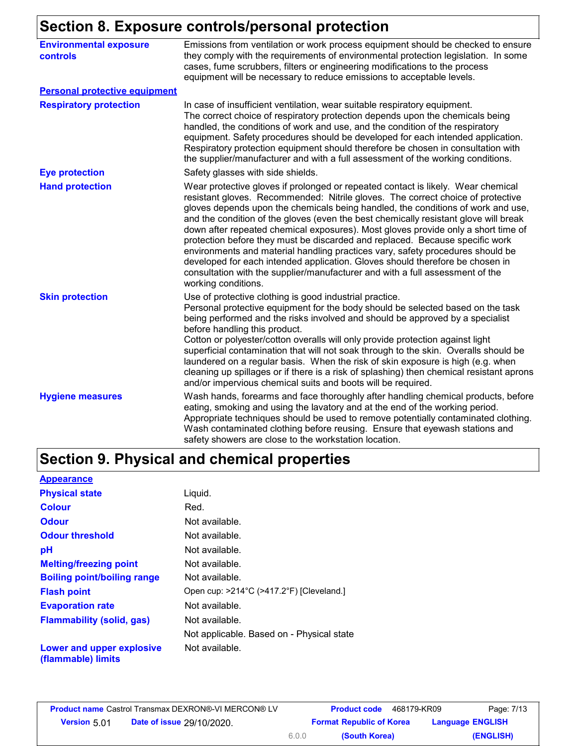#### **Section 8. Exposure controls/personal protection**

| <b>Environmental exposure</b><br>controls | Emissions from ventilation or work process equipment should be checked to ensure<br>they comply with the requirements of environmental protection legislation. In some<br>cases, fume scrubbers, filters or engineering modifications to the process<br>equipment will be necessary to reduce emissions to acceptable levels.                                                                                                                                                                                                                                                                                                                                                                                                                                                                   |
|-------------------------------------------|-------------------------------------------------------------------------------------------------------------------------------------------------------------------------------------------------------------------------------------------------------------------------------------------------------------------------------------------------------------------------------------------------------------------------------------------------------------------------------------------------------------------------------------------------------------------------------------------------------------------------------------------------------------------------------------------------------------------------------------------------------------------------------------------------|
| <b>Personal protective equipment</b>      |                                                                                                                                                                                                                                                                                                                                                                                                                                                                                                                                                                                                                                                                                                                                                                                                 |
| <b>Respiratory protection</b>             | In case of insufficient ventilation, wear suitable respiratory equipment.<br>The correct choice of respiratory protection depends upon the chemicals being<br>handled, the conditions of work and use, and the condition of the respiratory<br>equipment. Safety procedures should be developed for each intended application.<br>Respiratory protection equipment should therefore be chosen in consultation with<br>the supplier/manufacturer and with a full assessment of the working conditions.                                                                                                                                                                                                                                                                                           |
| <b>Eye protection</b>                     | Safety glasses with side shields.                                                                                                                                                                                                                                                                                                                                                                                                                                                                                                                                                                                                                                                                                                                                                               |
| <b>Hand protection</b>                    | Wear protective gloves if prolonged or repeated contact is likely. Wear chemical<br>resistant gloves. Recommended: Nitrile gloves. The correct choice of protective<br>gloves depends upon the chemicals being handled, the conditions of work and use,<br>and the condition of the gloves (even the best chemically resistant glove will break<br>down after repeated chemical exposures). Most gloves provide only a short time of<br>protection before they must be discarded and replaced. Because specific work<br>environments and material handling practices vary, safety procedures should be<br>developed for each intended application. Gloves should therefore be chosen in<br>consultation with the supplier/manufacturer and with a full assessment of the<br>working conditions. |
| <b>Skin protection</b>                    | Use of protective clothing is good industrial practice.<br>Personal protective equipment for the body should be selected based on the task<br>being performed and the risks involved and should be approved by a specialist<br>before handling this product.<br>Cotton or polyester/cotton overalls will only provide protection against light<br>superficial contamination that will not soak through to the skin. Overalls should be<br>laundered on a regular basis. When the risk of skin exposure is high (e.g. when<br>cleaning up spillages or if there is a risk of splashing) then chemical resistant aprons<br>and/or impervious chemical suits and boots will be required.                                                                                                           |
| <b>Hygiene measures</b>                   | Wash hands, forearms and face thoroughly after handling chemical products, before<br>eating, smoking and using the lavatory and at the end of the working period.<br>Appropriate techniques should be used to remove potentially contaminated clothing.<br>Wash contaminated clothing before reusing. Ensure that eyewash stations and<br>safety showers are close to the workstation location.                                                                                                                                                                                                                                                                                                                                                                                                 |

### **Section 9. Physical and chemical properties**

| <b>Appearance</b>                               |                                                               |
|-------------------------------------------------|---------------------------------------------------------------|
| <b>Physical state</b>                           | Liquid.                                                       |
| <b>Colour</b>                                   | Red.                                                          |
| <b>Odour</b>                                    | Not available.                                                |
| <b>Odour threshold</b>                          | Not available.                                                |
| рH                                              | Not available.                                                |
| <b>Melting/freezing point</b>                   | Not available.                                                |
| <b>Boiling point/boiling range</b>              | Not available.                                                |
| <b>Flash point</b>                              | Open cup: $>214^{\circ}$ C ( $>417.2^{\circ}$ F) [Cleveland.] |
| <b>Evaporation rate</b>                         | Not available.                                                |
| <b>Flammability (solid, gas)</b>                | Not available.                                                |
|                                                 | Not applicable. Based on - Physical state                     |
| Lower and upper explosive<br>(flammable) limits | Not available.                                                |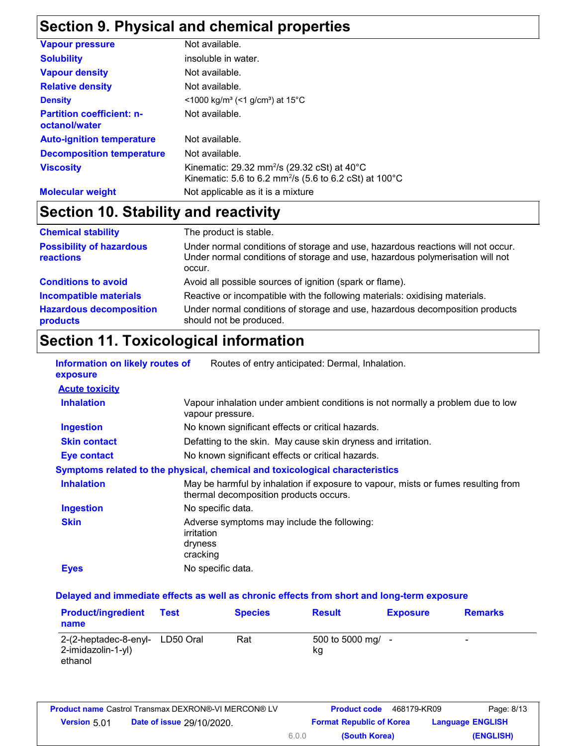## **Section 9. Physical and chemical properties**

| <b>Vapour pressure</b>                            | Not available.                                                                                                                           |
|---------------------------------------------------|------------------------------------------------------------------------------------------------------------------------------------------|
| <b>Solubility</b>                                 | insoluble in water.                                                                                                                      |
| <b>Vapour density</b>                             | Not available.                                                                                                                           |
| <b>Relative density</b>                           | Not available.                                                                                                                           |
| <b>Density</b>                                    | $\leq$ 1000 kg/m <sup>3</sup> (<1 g/cm <sup>3</sup> ) at 15 <sup>°</sup> C                                                               |
| <b>Partition coefficient: n-</b><br>octanol/water | Not available.                                                                                                                           |
| <b>Auto-ignition temperature</b>                  | Not available.                                                                                                                           |
| <b>Decomposition temperature</b>                  | Not available.                                                                                                                           |
| <b>Viscosity</b>                                  | Kinematic: 29.32 mm <sup>2</sup> /s (29.32 cSt) at $40^{\circ}$ C<br>Kinematic: 5.6 to 6.2 mm <sup>2</sup> /s (5.6 to 6.2 cSt) at 100 °C |
| <b>Molecular weight</b>                           | Not applicable as it is a mixture                                                                                                        |

# **Section 10. Stability and reactivity**

| <b>Chemical stability</b>                    | The product is stable.                                                                                                                                                     |
|----------------------------------------------|----------------------------------------------------------------------------------------------------------------------------------------------------------------------------|
| <b>Possibility of hazardous</b><br>reactions | Under normal conditions of storage and use, hazardous reactions will not occur.<br>Under normal conditions of storage and use, hazardous polymerisation will not<br>occur. |
| <b>Conditions to avoid</b>                   | Avoid all possible sources of ignition (spark or flame).                                                                                                                   |
| <b>Incompatible materials</b>                | Reactive or incompatible with the following materials: oxidising materials.                                                                                                |
| <b>Hazardous decomposition</b><br>products   | Under normal conditions of storage and use, hazardous decomposition products<br>should not be produced.                                                                    |

### **Section 11. Toxicological information**

| Information on likely routes of<br>exposure | Routes of entry anticipated: Dermal, Inhalation.                                                                            |
|---------------------------------------------|-----------------------------------------------------------------------------------------------------------------------------|
| <b>Acute toxicity</b>                       |                                                                                                                             |
| <b>Inhalation</b>                           | Vapour inhalation under ambient conditions is not normally a problem due to low<br>vapour pressure.                         |
| <b>Ingestion</b>                            | No known significant effects or critical hazards.                                                                           |
| <b>Skin contact</b>                         | Defatting to the skin. May cause skin dryness and irritation.                                                               |
| <b>Eye contact</b>                          | No known significant effects or critical hazards.                                                                           |
|                                             | Symptoms related to the physical, chemical and toxicological characteristics                                                |
| <b>Inhalation</b>                           | May be harmful by inhalation if exposure to vapour, mists or fumes resulting from<br>thermal decomposition products occurs. |
| <b>Ingestion</b>                            | No specific data.                                                                                                           |
| <b>Skin</b>                                 | Adverse symptoms may include the following:<br>irritation<br>dryness<br>cracking                                            |
| <b>Eyes</b>                                 | No specific data.                                                                                                           |

#### **Delayed and immediate effects as well as chronic effects from short and long-term exposure**

| <b>Product/ingredient</b><br>name                                | <b>Test</b> | <b>Species</b> | <b>Result</b>             | <b>Exposure</b> | <b>Remarks</b> |
|------------------------------------------------------------------|-------------|----------------|---------------------------|-----------------|----------------|
| 2-(2-heptadec-8-enyl- LD50 Oral<br>2-imidazolin-1-yl)<br>ethanol |             | Rat            | 500 to 5000 mg/ $-$<br>kg |                 | -              |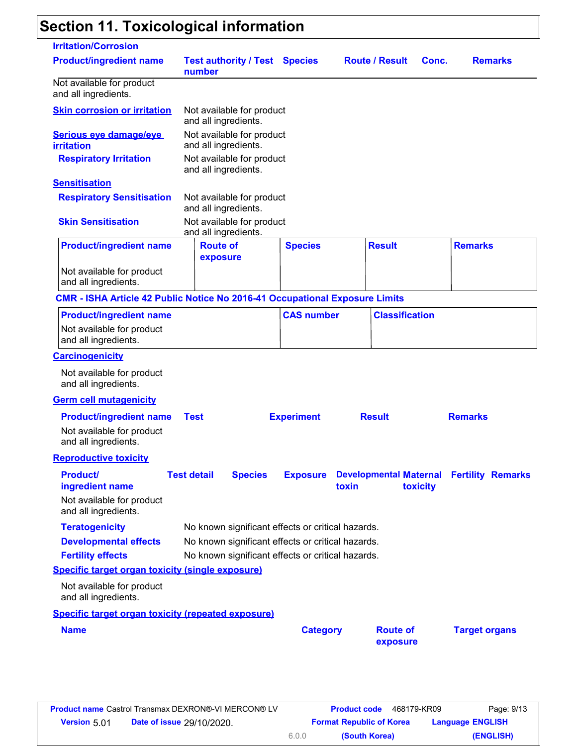# **Section 11. Toxicological information**

| <b>Irritation/Corrosion</b>                                                         |                                                   |                          |                       |                                                 |
|-------------------------------------------------------------------------------------|---------------------------------------------------|--------------------------|-----------------------|-------------------------------------------------|
| <b>Product/ingredient name</b>                                                      | <b>Test authority / Test Species</b><br>number    |                          | <b>Route / Result</b> | <b>Remarks</b><br>Conc.                         |
| Not available for product<br>and all ingredients.                                   |                                                   |                          |                       |                                                 |
| <b>Skin corrosion or irritation</b>                                                 | Not available for product<br>and all ingredients. |                          |                       |                                                 |
| Serious eye damage/eye<br><b>irritation</b>                                         | Not available for product<br>and all ingredients. |                          |                       |                                                 |
| <b>Respiratory Irritation</b>                                                       | Not available for product<br>and all ingredients. |                          |                       |                                                 |
| <b>Sensitisation</b>                                                                |                                                   |                          |                       |                                                 |
| <b>Respiratory Sensitisation</b>                                                    | Not available for product<br>and all ingredients. |                          |                       |                                                 |
| <b>Skin Sensitisation</b>                                                           | Not available for product<br>and all ingredients. |                          |                       |                                                 |
| <b>Product/ingredient name</b>                                                      | <b>Route of</b><br>exposure                       | <b>Species</b>           | <b>Result</b>         | <b>Remarks</b>                                  |
| Not available for product<br>and all ingredients.                                   |                                                   |                          |                       |                                                 |
| <b>CMR - ISHA Article 42 Public Notice No 2016-41 Occupational Exposure Limits</b>  |                                                   |                          |                       |                                                 |
| <b>Product/ingredient name</b>                                                      |                                                   | <b>CAS number</b>        | <b>Classification</b> |                                                 |
| Not available for product                                                           |                                                   |                          |                       |                                                 |
| and all ingredients.                                                                |                                                   |                          |                       |                                                 |
| <b>Carcinogenicity</b>                                                              |                                                   |                          |                       |                                                 |
| Not available for product<br>and all ingredients.                                   |                                                   |                          |                       |                                                 |
| <b>Germ cell mutagenicity</b>                                                       |                                                   |                          |                       |                                                 |
|                                                                                     |                                                   |                          |                       |                                                 |
| <b>Product/ingredient name</b><br>Not available for product<br>and all ingredients. | <b>Test</b>                                       | <b>Experiment</b>        | <b>Result</b>         | <b>Remarks</b>                                  |
| <b>Reproductive toxicity</b>                                                        |                                                   |                          |                       |                                                 |
| <b>Product</b><br>ingredient name                                                   | <b>Test detail</b><br><b>Species</b>              | <b>Exposure</b><br>toxin | toxicity              | <b>Developmental Maternal Fertility Remarks</b> |
| Not available for product<br>and all ingredients.                                   |                                                   |                          |                       |                                                 |
| <b>Teratogenicity</b>                                                               | No known significant effects or critical hazards. |                          |                       |                                                 |
| <b>Developmental effects</b>                                                        | No known significant effects or critical hazards. |                          |                       |                                                 |
| <b>Fertility effects</b>                                                            | No known significant effects or critical hazards. |                          |                       |                                                 |
| <b>Specific target organ toxicity (single exposure)</b>                             |                                                   |                          |                       |                                                 |
| Not available for product<br>and all ingredients.                                   |                                                   |                          |                       |                                                 |
| <b>Specific target organ toxicity (repeated exposure)</b>                           |                                                   |                          |                       |                                                 |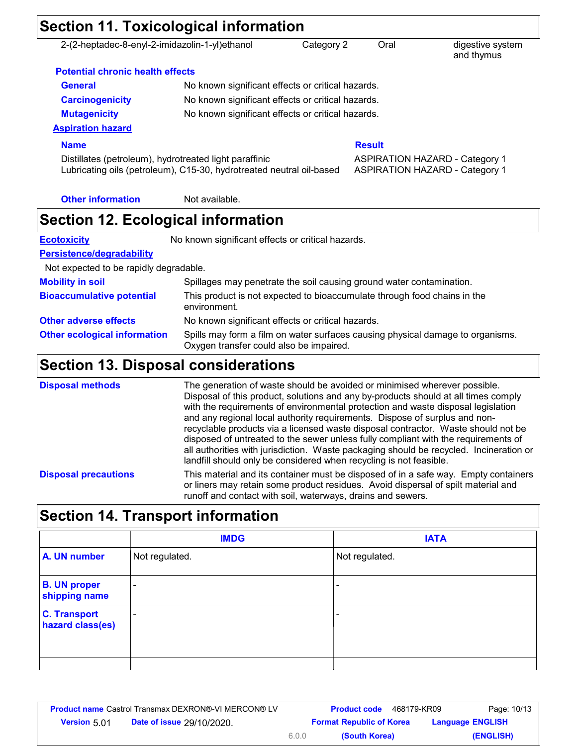| <b>Section 11. Toxicological information</b>                                                                                   |                                                                          |            |               |                                                                                |  |
|--------------------------------------------------------------------------------------------------------------------------------|--------------------------------------------------------------------------|------------|---------------|--------------------------------------------------------------------------------|--|
| 2-(2-heptadec-8-enyl-2-imidazolin-1-yl)ethanol                                                                                 |                                                                          | Category 2 | Oral          | digestive system<br>and thymus                                                 |  |
| <b>Potential chronic health effects</b>                                                                                        |                                                                          |            |               |                                                                                |  |
| <b>General</b>                                                                                                                 | No known significant effects or critical hazards.                        |            |               |                                                                                |  |
| <b>Carcinogenicity</b>                                                                                                         | No known significant effects or critical hazards.                        |            |               |                                                                                |  |
| <b>Mutagenicity</b>                                                                                                            | No known significant effects or critical hazards.                        |            |               |                                                                                |  |
| <b>Aspiration hazard</b>                                                                                                       |                                                                          |            |               |                                                                                |  |
| <b>Name</b>                                                                                                                    |                                                                          |            | <b>Result</b> |                                                                                |  |
| Distillates (petroleum), hydrotreated light paraffinic<br>Lubricating oils (petroleum), C15-30, hydrotreated neutral oil-based |                                                                          |            |               | <b>ASPIRATION HAZARD - Category 1</b><br><b>ASPIRATION HAZARD - Category 1</b> |  |
| <b>Other information</b>                                                                                                       | Not available.                                                           |            |               |                                                                                |  |
| <b>Section 12. Ecological information</b>                                                                                      |                                                                          |            |               |                                                                                |  |
| <b>Ecotoxicity</b>                                                                                                             | No known significant effects or critical hazards.                        |            |               |                                                                                |  |
| Persistence/degradability                                                                                                      |                                                                          |            |               |                                                                                |  |
| Not expected to be rapidly degradable.                                                                                         |                                                                          |            |               |                                                                                |  |
| <b>Mobility in soil</b>                                                                                                        | Spillages may penetrate the soil causing ground water contamination.     |            |               |                                                                                |  |
| <b>Bioaccumulative potential</b>                                                                                               | This product is not expected to bioaccumulate through food chains in the |            |               |                                                                                |  |

|                                     | environment.                                                                                                              |
|-------------------------------------|---------------------------------------------------------------------------------------------------------------------------|
| <b>Other adverse effects</b>        | No known significant effects or critical hazards.                                                                         |
| <b>Other ecological information</b> | Spills may form a film on water surfaces causing physical damage to organisms.<br>Oxygen transfer could also be impaired. |

## **Section 13. Disposal considerations**

| <b>Disposal methods</b>     | The generation of waste should be avoided or minimised wherever possible.<br>Disposal of this product, solutions and any by-products should at all times comply<br>with the requirements of environmental protection and waste disposal legislation<br>and any regional local authority requirements. Dispose of surplus and non-<br>recyclable products via a licensed waste disposal contractor. Waste should not be<br>disposed of untreated to the sewer unless fully compliant with the requirements of<br>all authorities with jurisdiction. Waste packaging should be recycled. Incineration or<br>landfill should only be considered when recycling is not feasible. |
|-----------------------------|------------------------------------------------------------------------------------------------------------------------------------------------------------------------------------------------------------------------------------------------------------------------------------------------------------------------------------------------------------------------------------------------------------------------------------------------------------------------------------------------------------------------------------------------------------------------------------------------------------------------------------------------------------------------------|
| <b>Disposal precautions</b> | This material and its container must be disposed of in a safe way. Empty containers<br>or liners may retain some product residues. Avoid dispersal of spilt material and<br>runoff and contact with soil, waterways, drains and sewers.                                                                                                                                                                                                                                                                                                                                                                                                                                      |

# **Section 14. Transport information**

|                                         | <b>IMDG</b>              | <b>IATA</b>    |
|-----------------------------------------|--------------------------|----------------|
| A. UN number                            | Not regulated.           | Not regulated. |
| <b>B. UN proper</b><br>shipping name    | $\overline{\phantom{0}}$ |                |
| <b>C. Transport</b><br>hazard class(es) |                          | ۰              |
|                                         |                          |                |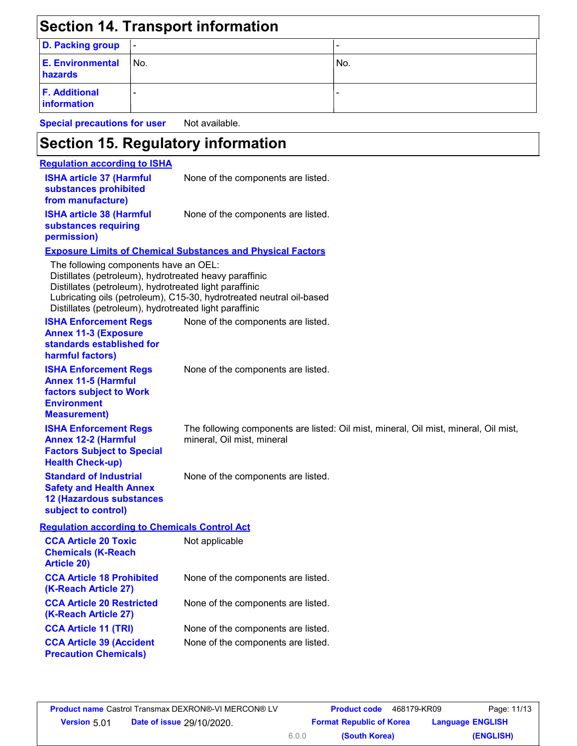|                                                                                                                                                           |     | <b>Section 14. Transport information</b>                                                                                       |                                                                                      |
|-----------------------------------------------------------------------------------------------------------------------------------------------------------|-----|--------------------------------------------------------------------------------------------------------------------------------|--------------------------------------------------------------------------------------|
| <b>D. Packing group</b>                                                                                                                                   |     |                                                                                                                                | L,                                                                                   |
| <b>E. Environmental</b><br>hazards                                                                                                                        | No. |                                                                                                                                | No.                                                                                  |
| <b>F. Additional</b><br>information                                                                                                                       |     |                                                                                                                                |                                                                                      |
| <b>Special precautions for user</b>                                                                                                                       |     | Not available.                                                                                                                 |                                                                                      |
|                                                                                                                                                           |     | <b>Section 15. Regulatory information</b>                                                                                      |                                                                                      |
| <b>Requlation according to ISHA</b>                                                                                                                       |     |                                                                                                                                |                                                                                      |
| <b>ISHA article 37 (Harmful</b><br>substances prohibited<br>from manufacture)                                                                             |     | None of the components are listed.                                                                                             |                                                                                      |
| <b>ISHA article 38 (Harmful</b><br>substances requiring<br>permission)                                                                                    |     | None of the components are listed.                                                                                             |                                                                                      |
|                                                                                                                                                           |     | <b>Exposure Limits of Chemical Substances and Physical Factors</b>                                                             |                                                                                      |
| The following components have an OEL:<br>Distillates (petroleum), hydrotreated light paraffinic<br>Distillates (petroleum), hydrotreated light paraffinic |     | Distillates (petroleum), hydrotreated heavy paraffinic<br>Lubricating oils (petroleum), C15-30, hydrotreated neutral oil-based |                                                                                      |
| <b>ISHA Enforcement Regs</b><br><b>Annex 11-3 (Exposure</b><br>standards established for<br>harmful factors)                                              |     | None of the components are listed.                                                                                             |                                                                                      |
| <b>ISHA Enforcement Regs</b><br><b>Annex 11-5 (Harmful</b><br>factors subject to Work<br><b>Environment</b><br><b>Measurement</b> )                       |     | None of the components are listed.                                                                                             |                                                                                      |
| <b>ISHA Enforcement Regs</b><br><b>Annex 12-2 (Harmful</b><br><b>Factors Subject to Special</b><br><b>Health Check-up)</b>                                |     | mineral, Oil mist, mineral                                                                                                     | The following components are listed: Oil mist, mineral, Oil mist, mineral, Oil mist, |
| <b>Standard of Industrial</b><br><b>Safety and Health Annex</b><br><b>12 (Hazardous substances</b><br>subject to control)                                 |     | None of the components are listed.                                                                                             |                                                                                      |
| <b>Regulation according to Chemicals Control Act</b>                                                                                                      |     |                                                                                                                                |                                                                                      |
| <b>CCA Article 20 Toxic</b><br><b>Chemicals (K-Reach</b><br><b>Article 20)</b>                                                                            |     | Not applicable                                                                                                                 |                                                                                      |
| <b>CCA Article 18 Prohibited</b><br>(K-Reach Article 27)                                                                                                  |     | None of the components are listed.                                                                                             |                                                                                      |
| <b>CCA Article 20 Restricted</b><br>(K-Reach Article 27)                                                                                                  |     | None of the components are listed.                                                                                             |                                                                                      |
| <b>CCA Article 11 (TRI)</b>                                                                                                                               |     | None of the components are listed.                                                                                             |                                                                                      |
| <b>CCA Article 39 (Accident</b><br><b>Precaution Chemicals)</b>                                                                                           |     | None of the components are listed.                                                                                             |                                                                                      |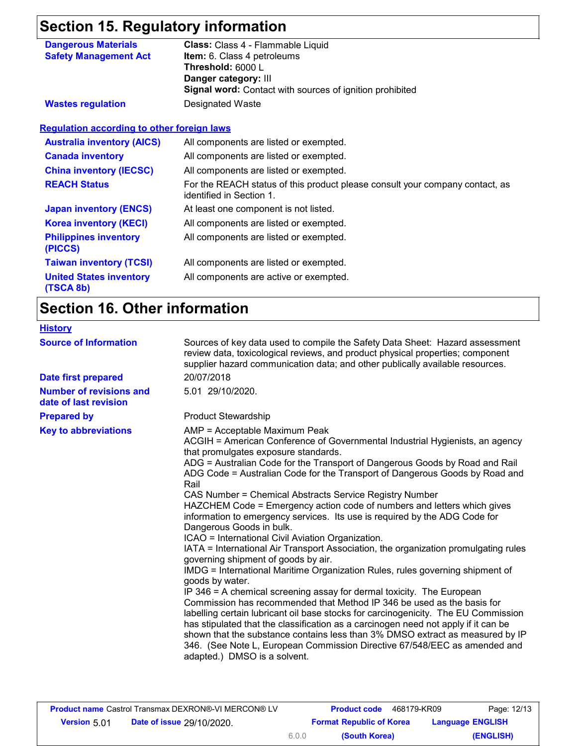## **Section 15. Regulatory information**

| <b>Dangerous Materials</b>   | Class: Class 4 - Flammable Liquid                               |
|------------------------------|-----------------------------------------------------------------|
| <b>Safety Management Act</b> | <b>Item:</b> 6. Class 4 petroleums                              |
|                              | Threshold: 6000 L                                               |
|                              | Danger category: III                                            |
|                              | <b>Signal word:</b> Contact with sources of ignition prohibited |
| <b>Wastes regulation</b>     | Designated Waste                                                |

| <b>Requlation according to other foreign laws</b> |                                                                                                          |
|---------------------------------------------------|----------------------------------------------------------------------------------------------------------|
| <b>Australia inventory (AICS)</b>                 | All components are listed or exempted.                                                                   |
| <b>Canada inventory</b>                           | All components are listed or exempted.                                                                   |
| <b>China inventory (IECSC)</b>                    | All components are listed or exempted.                                                                   |
| <b>REACH Status</b>                               | For the REACH status of this product please consult your company contact, as<br>identified in Section 1. |
| <b>Japan inventory (ENCS)</b>                     | At least one component is not listed.                                                                    |
| <b>Korea inventory (KECI)</b>                     | All components are listed or exempted.                                                                   |
| <b>Philippines inventory</b><br>(PICCS)           | All components are listed or exempted.                                                                   |
| <b>Taiwan inventory (TCSI)</b>                    | All components are listed or exempted.                                                                   |
| <b>United States inventory</b>                    | All components are active or exempted.                                                                   |

## **Section 16. Other information**

**(TSCA 8b)**

| <b>History</b>                                          |                                                                                                                                                                                                                                                                                                                                                                                                                                                                                                                                                                                                                                                                                                                                                                                                                                                                                                                                                                                                                                                                                                                                                                                                                                                                                                                                                                                                 |
|---------------------------------------------------------|-------------------------------------------------------------------------------------------------------------------------------------------------------------------------------------------------------------------------------------------------------------------------------------------------------------------------------------------------------------------------------------------------------------------------------------------------------------------------------------------------------------------------------------------------------------------------------------------------------------------------------------------------------------------------------------------------------------------------------------------------------------------------------------------------------------------------------------------------------------------------------------------------------------------------------------------------------------------------------------------------------------------------------------------------------------------------------------------------------------------------------------------------------------------------------------------------------------------------------------------------------------------------------------------------------------------------------------------------------------------------------------------------|
| <b>Source of Information</b>                            | Sources of key data used to compile the Safety Data Sheet: Hazard assessment<br>review data, toxicological reviews, and product physical properties; component<br>supplier hazard communication data; and other publically available resources.                                                                                                                                                                                                                                                                                                                                                                                                                                                                                                                                                                                                                                                                                                                                                                                                                                                                                                                                                                                                                                                                                                                                                 |
| <b>Date first prepared</b>                              | 20/07/2018                                                                                                                                                                                                                                                                                                                                                                                                                                                                                                                                                                                                                                                                                                                                                                                                                                                                                                                                                                                                                                                                                                                                                                                                                                                                                                                                                                                      |
| <b>Number of revisions and</b><br>date of last revision | 5.01 29/10/2020.                                                                                                                                                                                                                                                                                                                                                                                                                                                                                                                                                                                                                                                                                                                                                                                                                                                                                                                                                                                                                                                                                                                                                                                                                                                                                                                                                                                |
| <b>Prepared by</b>                                      | <b>Product Stewardship</b>                                                                                                                                                                                                                                                                                                                                                                                                                                                                                                                                                                                                                                                                                                                                                                                                                                                                                                                                                                                                                                                                                                                                                                                                                                                                                                                                                                      |
| <b>Key to abbreviations</b>                             | AMP = Acceptable Maximum Peak<br>ACGIH = American Conference of Governmental Industrial Hygienists, an agency<br>that promulgates exposure standards.<br>ADG = Australian Code for the Transport of Dangerous Goods by Road and Rail<br>ADG Code = Australian Code for the Transport of Dangerous Goods by Road and<br>Rail<br>CAS Number = Chemical Abstracts Service Registry Number<br>HAZCHEM Code = Emergency action code of numbers and letters which gives<br>information to emergency services. Its use is required by the ADG Code for<br>Dangerous Goods in bulk.<br>ICAO = International Civil Aviation Organization.<br>IATA = International Air Transport Association, the organization promulgating rules<br>governing shipment of goods by air.<br>IMDG = International Maritime Organization Rules, rules governing shipment of<br>goods by water.<br>IP 346 = A chemical screening assay for dermal toxicity. The European<br>Commission has recommended that Method IP 346 be used as the basis for<br>labelling certain lubricant oil base stocks for carcinogenicity. The EU Commission<br>has stipulated that the classification as a carcinogen need not apply if it can be<br>shown that the substance contains less than 3% DMSO extract as measured by IP<br>346. (See Note L, European Commission Directive 67/548/EEC as amended and<br>adapted.) DMSO is a solvent. |